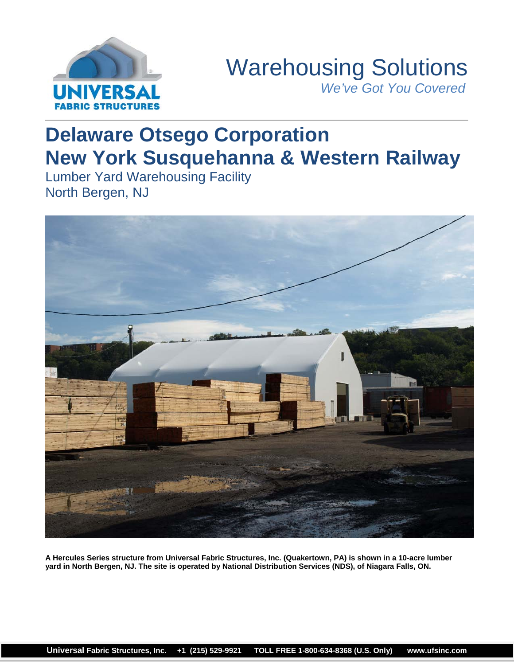

# Warehousing Solutions *We've Got You Covered*

# **Delaware Otsego Corporation New York Susquehanna & Western Railway**

Lumber Yard Warehousing Facility North Bergen, NJ



**A Hercules Series structure from Universal Fabric Structures, Inc. (Quakertown, PA) is shown in a 10-acre lumber yard in North Bergen, NJ. The site is operated by National Distribution Services (NDS), of Niagara Falls, ON.**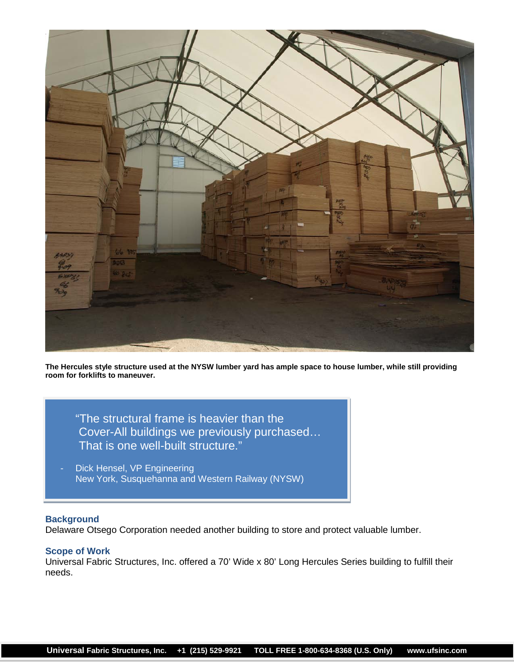

**The Hercules style structure used at the NYSW lumber yard has ample space to house lumber, while still providing room for forklifts to maneuver.**

"The structural frame is heavier than the Cover-All buildings we previously purchased… That is one well-built structure."

Dick Hensel, VP Engineering New York, Susquehanna and Western Railway (NYSW)

### **Background**

Delaware Otsego Corporation needed another building to store and protect valuable lumber.

## **Scope of Work**

Universal Fabric Structures, Inc. offered a 70' Wide x 80' Long Hercules Series building to fulfill their needs.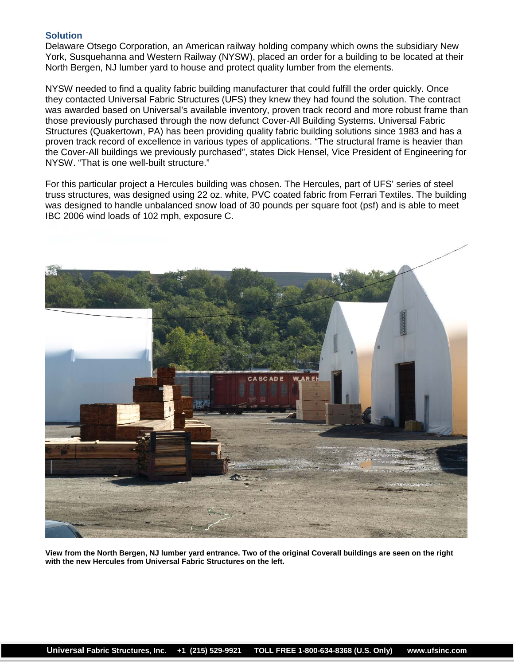### **Solution**

Delaware Otsego Corporation, an American railway holding company which owns the subsidiary New York, Susquehanna and Western Railway (NYSW), placed an order for a building to be located at their North Bergen, NJ lumber yard to house and protect quality lumber from the elements.

NYSW needed to find a quality fabric building manufacturer that could fulfill the order quickly. Once they contacted Universal Fabric Structures (UFS) they knew they had found the solution. The contract was awarded based on Universal's available inventory, proven track record and more robust frame than those previously purchased through the now defunct Cover-All Building Systems. Universal Fabric Structures (Quakertown, PA) has been providing quality fabric building solutions since 1983 and has a proven track record of excellence in various types of applications. "The structural frame is heavier than the Cover-All buildings we previously purchased", states Dick Hensel, Vice President of Engineering for NYSW. "That is one well-built structure."

For this particular project a Hercules building was chosen. The Hercules, part of UFS' series of steel truss structures, was designed using 22 oz. white, PVC coated fabric from Ferrari Textiles. The building was designed to handle unbalanced snow load of 30 pounds per square foot (psf) and is able to meet IBC 2006 wind loads of 102 mph, exposure C.



**View from the North Bergen, NJ lumber yard entrance. Two of the original Coverall buildings are seen on the right with the new Hercules from Universal Fabric Structures on the left.**